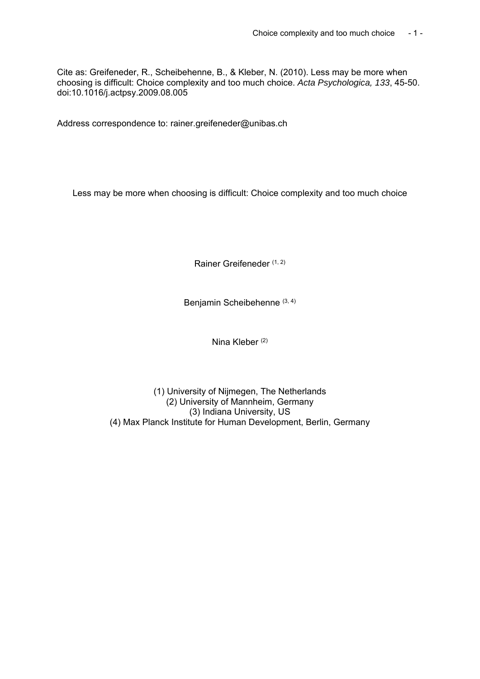Cite as: Greifeneder, R., Scheibehenne, B., & Kleber, N. (2010). Less may be more when choosing is difficult: Choice complexity and too much choice. *Acta Psychologica, 133*, 45-50. doi:10.1016/j.actpsy.2009.08.005

Address correspondence to: rainer.greifeneder@unibas.ch

Less may be more when choosing is difficult: Choice complexity and too much choice

Rainer Greifeneder (1, 2)

Benjamin Scheibehenne (3, 4)

Nina Kleber (2)

(1) University of Nijmegen, The Netherlands (2) University of Mannheim, Germany (3) Indiana University, US (4) Max Planck Institute for Human Development, Berlin, Germany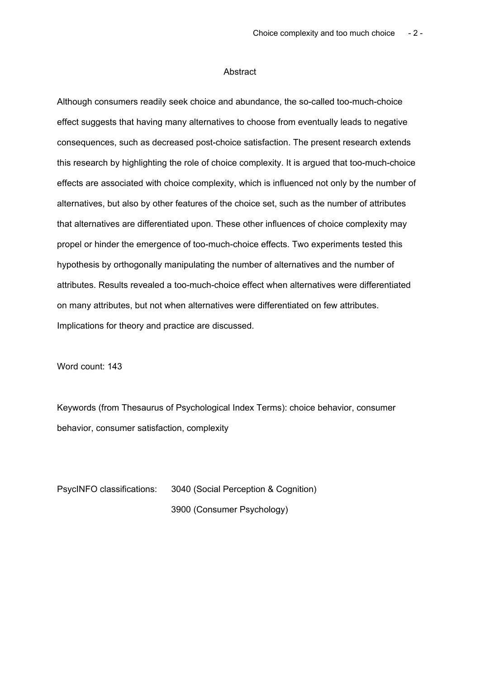#### **Abstract**

Although consumers readily seek choice and abundance, the so-called too-much-choice effect suggests that having many alternatives to choose from eventually leads to negative consequences, such as decreased post-choice satisfaction. The present research extends this research by highlighting the role of choice complexity. It is argued that too-much-choice effects are associated with choice complexity, which is influenced not only by the number of alternatives, but also by other features of the choice set, such as the number of attributes that alternatives are differentiated upon. These other influences of choice complexity may propel or hinder the emergence of too-much-choice effects. Two experiments tested this hypothesis by orthogonally manipulating the number of alternatives and the number of attributes. Results revealed a too-much-choice effect when alternatives were differentiated on many attributes, but not when alternatives were differentiated on few attributes. Implications for theory and practice are discussed.

Word count: 143

Keywords (from Thesaurus of Psychological Index Terms): choice behavior, consumer behavior, consumer satisfaction, complexity

PsycINFO classifications: 3040 (Social Perception & Cognition) 3900 (Consumer Psychology)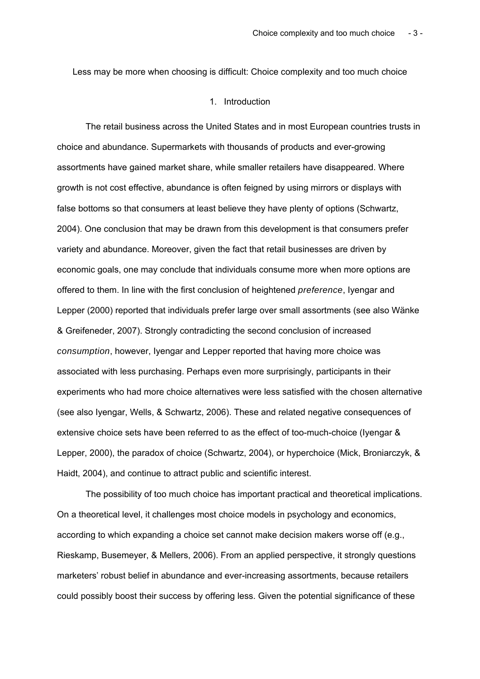Less may be more when choosing is difficult: Choice complexity and too much choice

#### 1. Introduction

The retail business across the United States and in most European countries trusts in choice and abundance. Supermarkets with thousands of products and ever-growing assortments have gained market share, while smaller retailers have disappeared. Where growth is not cost effective, abundance is often feigned by using mirrors or displays with false bottoms so that consumers at least believe they have plenty of options (Schwartz, 2004). One conclusion that may be drawn from this development is that consumers prefer variety and abundance. Moreover, given the fact that retail businesses are driven by economic goals, one may conclude that individuals consume more when more options are offered to them. In line with the first conclusion of heightened *preference*, Iyengar and Lepper (2000) reported that individuals prefer large over small assortments (see also Wänke & Greifeneder, 2007). Strongly contradicting the second conclusion of increased *consumption*, however, Iyengar and Lepper reported that having more choice was associated with less purchasing. Perhaps even more surprisingly, participants in their experiments who had more choice alternatives were less satisfied with the chosen alternative (see also Iyengar, Wells, & Schwartz, 2006). These and related negative consequences of extensive choice sets have been referred to as the effect of too-much-choice (Iyengar & Lepper, 2000), the paradox of choice (Schwartz, 2004), or hyperchoice (Mick, Broniarczyk, & Haidt, 2004), and continue to attract public and scientific interest.

The possibility of too much choice has important practical and theoretical implications. On a theoretical level, it challenges most choice models in psychology and economics, according to which expanding a choice set cannot make decision makers worse off (e.g., Rieskamp, Busemeyer, & Mellers, 2006). From an applied perspective, it strongly questions marketers' robust belief in abundance and ever-increasing assortments, because retailers could possibly boost their success by offering less. Given the potential significance of these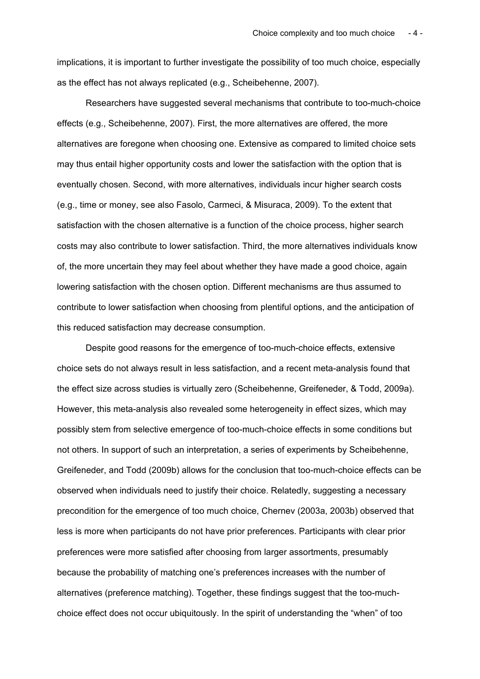implications, it is important to further investigate the possibility of too much choice, especially as the effect has not always replicated (e.g., Scheibehenne, 2007).

Researchers have suggested several mechanisms that contribute to too-much-choice effects (e.g., Scheibehenne, 2007). First, the more alternatives are offered, the more alternatives are foregone when choosing one. Extensive as compared to limited choice sets may thus entail higher opportunity costs and lower the satisfaction with the option that is eventually chosen. Second, with more alternatives, individuals incur higher search costs (e.g., time or money, see also Fasolo, Carmeci, & Misuraca, 2009). To the extent that satisfaction with the chosen alternative is a function of the choice process, higher search costs may also contribute to lower satisfaction. Third, the more alternatives individuals know of, the more uncertain they may feel about whether they have made a good choice, again lowering satisfaction with the chosen option. Different mechanisms are thus assumed to contribute to lower satisfaction when choosing from plentiful options, and the anticipation of this reduced satisfaction may decrease consumption.

Despite good reasons for the emergence of too-much-choice effects, extensive choice sets do not always result in less satisfaction, and a recent meta-analysis found that the effect size across studies is virtually zero (Scheibehenne, Greifeneder, & Todd, 2009a). However, this meta-analysis also revealed some heterogeneity in effect sizes, which may possibly stem from selective emergence of too-much-choice effects in some conditions but not others. In support of such an interpretation, a series of experiments by Scheibehenne, Greifeneder, and Todd (2009b) allows for the conclusion that too-much-choice effects can be observed when individuals need to justify their choice. Relatedly, suggesting a necessary precondition for the emergence of too much choice, Chernev (2003a, 2003b) observed that less is more when participants do not have prior preferences. Participants with clear prior preferences were more satisfied after choosing from larger assortments, presumably because the probability of matching one's preferences increases with the number of alternatives (preference matching). Together, these findings suggest that the too-muchchoice effect does not occur ubiquitously. In the spirit of understanding the "when" of too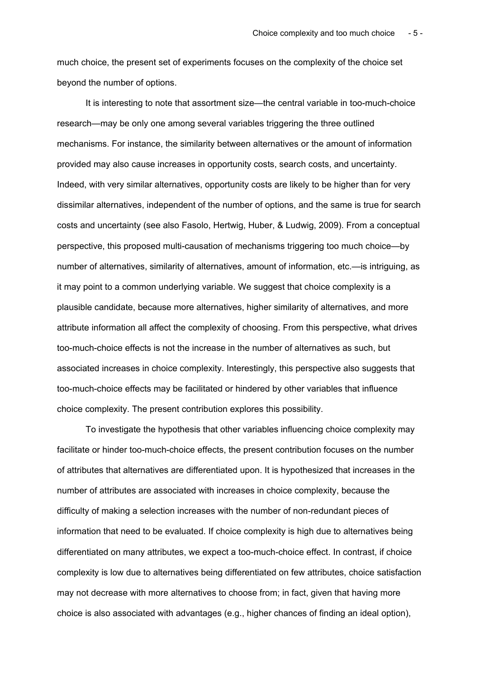much choice, the present set of experiments focuses on the complexity of the choice set beyond the number of options.

It is interesting to note that assortment size—the central variable in too-much-choice research—may be only one among several variables triggering the three outlined mechanisms. For instance, the similarity between alternatives or the amount of information provided may also cause increases in opportunity costs, search costs, and uncertainty. Indeed, with very similar alternatives, opportunity costs are likely to be higher than for very dissimilar alternatives, independent of the number of options, and the same is true for search costs and uncertainty (see also Fasolo, Hertwig, Huber, & Ludwig, 2009). From a conceptual perspective, this proposed multi-causation of mechanisms triggering too much choice—by number of alternatives, similarity of alternatives, amount of information, etc.—is intriguing, as it may point to a common underlying variable. We suggest that choice complexity is a plausible candidate, because more alternatives, higher similarity of alternatives, and more attribute information all affect the complexity of choosing. From this perspective, what drives too-much-choice effects is not the increase in the number of alternatives as such, but associated increases in choice complexity. Interestingly, this perspective also suggests that too-much-choice effects may be facilitated or hindered by other variables that influence choice complexity. The present contribution explores this possibility.

To investigate the hypothesis that other variables influencing choice complexity may facilitate or hinder too-much-choice effects, the present contribution focuses on the number of attributes that alternatives are differentiated upon. It is hypothesized that increases in the number of attributes are associated with increases in choice complexity, because the difficulty of making a selection increases with the number of non-redundant pieces of information that need to be evaluated. If choice complexity is high due to alternatives being differentiated on many attributes, we expect a too-much-choice effect. In contrast, if choice complexity is low due to alternatives being differentiated on few attributes, choice satisfaction may not decrease with more alternatives to choose from; in fact, given that having more choice is also associated with advantages (e.g., higher chances of finding an ideal option),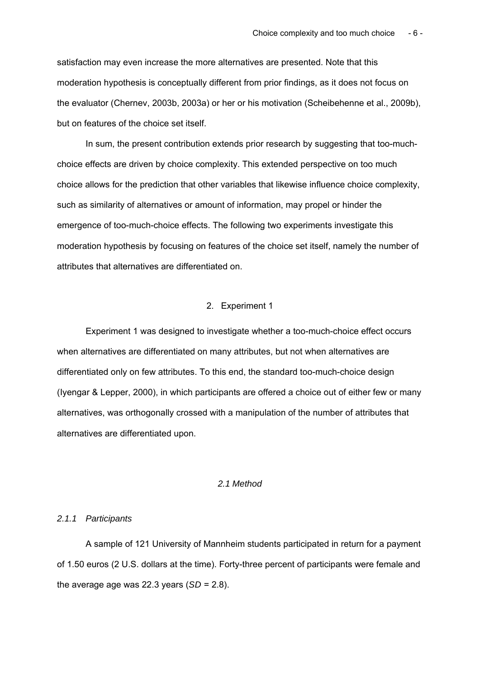satisfaction may even increase the more alternatives are presented. Note that this moderation hypothesis is conceptually different from prior findings, as it does not focus on the evaluator (Chernev, 2003b, 2003a) or her or his motivation (Scheibehenne et al., 2009b), but on features of the choice set itself.

In sum, the present contribution extends prior research by suggesting that too-muchchoice effects are driven by choice complexity. This extended perspective on too much choice allows for the prediction that other variables that likewise influence choice complexity, such as similarity of alternatives or amount of information, may propel or hinder the emergence of too-much-choice effects. The following two experiments investigate this moderation hypothesis by focusing on features of the choice set itself, namely the number of attributes that alternatives are differentiated on.

# 2. Experiment 1

Experiment 1 was designed to investigate whether a too-much-choice effect occurs when alternatives are differentiated on many attributes, but not when alternatives are differentiated only on few attributes. To this end, the standard too-much-choice design (Iyengar & Lepper, 2000), in which participants are offered a choice out of either few or many alternatives, was orthogonally crossed with a manipulation of the number of attributes that alternatives are differentiated upon.

# *2.1 Method*

## *2.1.1 Participants*

A sample of 121 University of Mannheim students participated in return for a payment of 1.50 euros (2 U.S. dollars at the time). Forty-three percent of participants were female and the average age was 22.3 years  $(SD = 2.8)$ .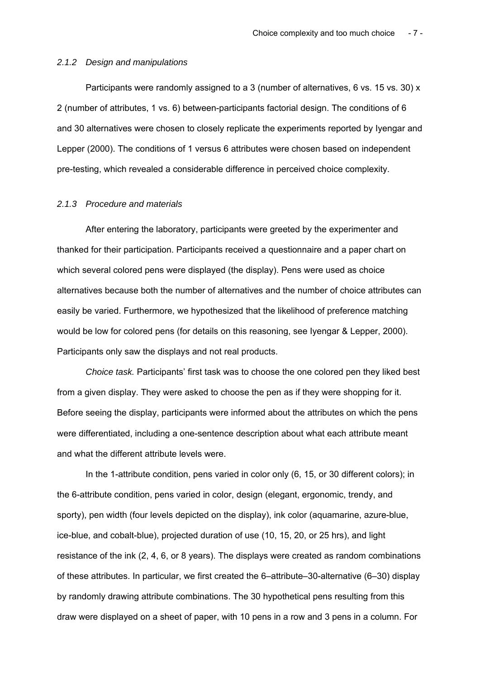## *2.1.2 Design and manipulations*

Participants were randomly assigned to a 3 (number of alternatives, 6 vs. 15 vs. 30) x 2 (number of attributes, 1 vs. 6) between-participants factorial design. The conditions of 6 and 30 alternatives were chosen to closely replicate the experiments reported by Iyengar and Lepper (2000). The conditions of 1 versus 6 attributes were chosen based on independent pre-testing, which revealed a considerable difference in perceived choice complexity.

#### *2.1.3 Procedure and materials*

After entering the laboratory, participants were greeted by the experimenter and thanked for their participation. Participants received a questionnaire and a paper chart on which several colored pens were displayed (the display). Pens were used as choice alternatives because both the number of alternatives and the number of choice attributes can easily be varied. Furthermore, we hypothesized that the likelihood of preference matching would be low for colored pens (for details on this reasoning, see Iyengar & Lepper, 2000). Participants only saw the displays and not real products.

*Choice task.* Participants' first task was to choose the one colored pen they liked best from a given display. They were asked to choose the pen as if they were shopping for it. Before seeing the display, participants were informed about the attributes on which the pens were differentiated, including a one-sentence description about what each attribute meant and what the different attribute levels were.

In the 1-attribute condition, pens varied in color only (6, 15, or 30 different colors); in the 6-attribute condition, pens varied in color, design (elegant, ergonomic, trendy, and sporty), pen width (four levels depicted on the display), ink color (aquamarine, azure-blue, ice-blue, and cobalt-blue), projected duration of use (10, 15, 20, or 25 hrs), and light resistance of the ink (2, 4, 6, or 8 years). The displays were created as random combinations of these attributes. In particular, we first created the 6–attribute–30-alternative (6–30) display by randomly drawing attribute combinations. The 30 hypothetical pens resulting from this draw were displayed on a sheet of paper, with 10 pens in a row and 3 pens in a column. For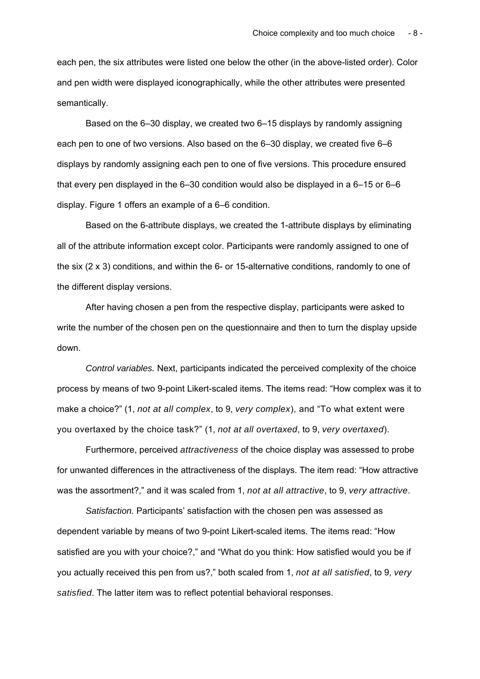each pen, the six attributes were listed one below the other (in the above-listed order). Color and pen width were displayed iconographically, while the other attributes were presented semantically.

Based on the 6–30 display, we created two 6–15 displays by randomly assigning each pen to one of two versions. Also based on the 6–30 display, we created five 6–6 displays by randomly assigning each pen to one of five versions. This procedure ensured that every pen displayed in the 6–30 condition would also be displayed in a 6–15 or 6–6 display. Figure 1 offers an example of a 6–6 condition.

Based on the 6-attribute displays, we created the 1-attribute displays by eliminating all of the attribute information except color. Participants were randomly assigned to one of the six (2 x 3) conditions, and within the 6- or 15-alternative conditions, randomly to one of the different display versions.

After having chosen a pen from the respective display, participants were asked to write the number of the chosen pen on the questionnaire and then to turn the display upside down.

*Control variables.* Next, participants indicated the perceived complexity of the choice process by means of two 9-point Likert-scaled items. The items read: "How complex was it to make a choice?" (1, *not at all complex*, to 9, *very complex*), and "To what extent were you overtaxed by the choice task?" (1, *not at all overtaxed*, to 9, *very overtaxed*).

Furthermore, perceived *attractiveness* of the choice display was assessed to probe for unwanted differences in the attractiveness of the displays. The item read: "How attractive was the assortment?," and it was scaled from 1, *not at all attractive*, to 9, *very attractive*.

*Satisfaction.* Participants' satisfaction with the chosen pen was assessed as dependent variable by means of two 9-point Likert-scaled items. The items read: "How satisfied are you with your choice?," and "What do you think: How satisfied would you be if you actually received this pen from us?," both scaled from 1, *not at all satisfied*, to 9, *very satisfied*. The latter item was to reflect potential behavioral responses.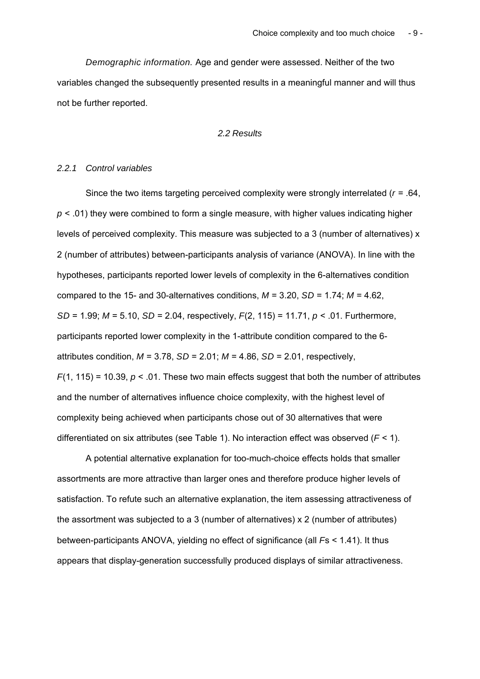*Demographic information.* Age and gender were assessed. Neither of the two variables changed the subsequently presented results in a meaningful manner and will thus not be further reported.

*2.2 Results* 

# *2.2.1 Control variables*

Since the two items targeting perceived complexity were strongly interrelated (*r* = .64, *p* < .01) they were combined to form a single measure, with higher values indicating higher levels of perceived complexity. This measure was subjected to a 3 (number of alternatives) x 2 (number of attributes) between-participants analysis of variance (ANOVA). In line with the hypotheses, participants reported lower levels of complexity in the 6-alternatives condition compared to the 15- and 30-alternatives conditions,  $M = 3.20$ ,  $SD = 1.74$ ;  $M = 4.62$ , *SD* = 1.99; *M* = 5.10, *SD* = 2.04, respectively, *F*(2, 115) = 11.71, *p* < .01. Furthermore, participants reported lower complexity in the 1-attribute condition compared to the 6 attributes condition, *M* = 3.78, *SD* = 2.01; *M* = 4.86, *SD* = 2.01, respectively,  $F(1, 115) = 10.39$ ,  $p < .01$ . These two main effects suggest that both the number of attributes and the number of alternatives influence choice complexity, with the highest level of complexity being achieved when participants chose out of 30 alternatives that were differentiated on six attributes (see Table 1). No interaction effect was observed (*F* < 1).

A potential alternative explanation for too-much-choice effects holds that smaller assortments are more attractive than larger ones and therefore produce higher levels of satisfaction. To refute such an alternative explanation, the item assessing attractiveness of the assortment was subjected to a 3 (number of alternatives) x 2 (number of attributes) between-participants ANOVA, yielding no effect of significance (all *F*s < 1.41). It thus appears that display-generation successfully produced displays of similar attractiveness.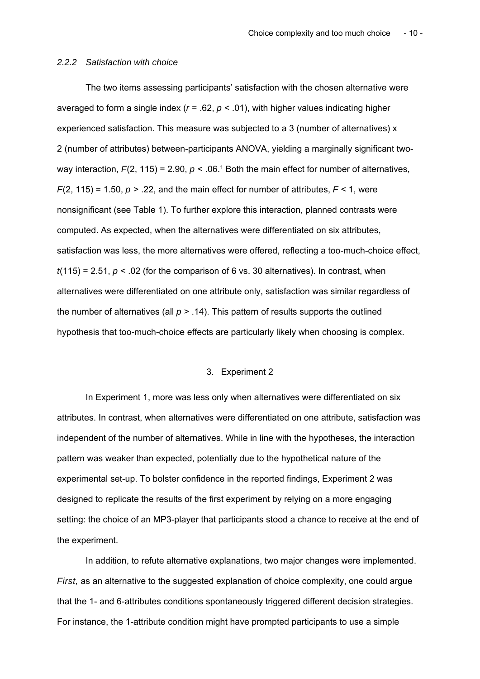## *2.2.2 Satisfaction with choice*

The two items assessing participants' satisfaction with the chosen alternative were averaged to form a single index (*r* = .62, *p* < .01), with higher values indicating higher experienced satisfaction. This measure was subjected to a 3 (number of alternatives) x 2 (number of attributes) between-participants ANOVA, yielding a marginally significant twoway interaction,  $F(2, 115) = 2.90$ ,  $p < .06<sup>1</sup>$  Both the main effect for number of alternatives,  $F(2, 115) = 1.50$ ,  $p > 0.22$ , and the main effect for number of attributes,  $F < 1$ , were nonsignificant (see Table 1). To further explore this interaction, planned contrasts were computed. As expected, when the alternatives were differentiated on six attributes, satisfaction was less, the more alternatives were offered, reflecting a too-much-choice effect,  $t(115) = 2.51$ ,  $p < .02$  (for the comparison of 6 vs. 30 alternatives). In contrast, when alternatives were differentiated on one attribute only, satisfaction was similar regardless of the number of alternatives (all *p* > .14). This pattern of results supports the outlined hypothesis that too-much-choice effects are particularly likely when choosing is complex.

## 3. Experiment 2

In Experiment 1, more was less only when alternatives were differentiated on six attributes. In contrast, when alternatives were differentiated on one attribute, satisfaction was independent of the number of alternatives. While in line with the hypotheses, the interaction pattern was weaker than expected, potentially due to the hypothetical nature of the experimental set-up. To bolster confidence in the reported findings, Experiment 2 was designed to replicate the results of the first experiment by relying on a more engaging setting: the choice of an MP3-player that participants stood a chance to receive at the end of the experiment.

In addition, to refute alternative explanations, two major changes were implemented. *First,* as an alternative to the suggested explanation of choice complexity, one could argue that the 1- and 6-attributes conditions spontaneously triggered different decision strategies. For instance, the 1-attribute condition might have prompted participants to use a simple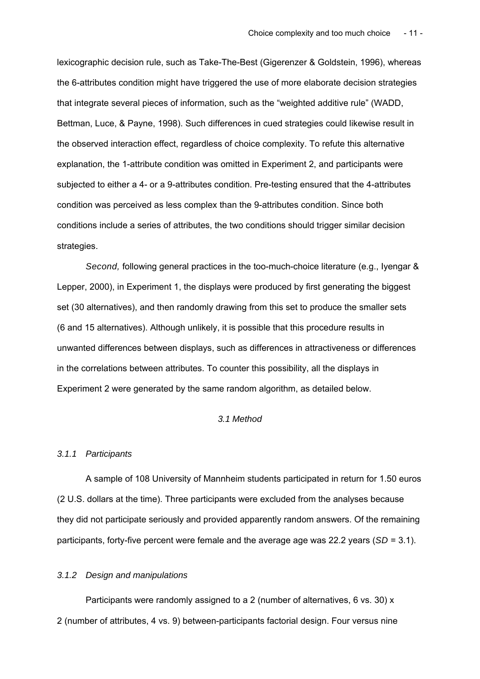lexicographic decision rule, such as Take-The-Best (Gigerenzer & Goldstein, 1996), whereas the 6-attributes condition might have triggered the use of more elaborate decision strategies that integrate several pieces of information, such as the "weighted additive rule" (WADD, Bettman, Luce, & Payne, 1998). Such differences in cued strategies could likewise result in the observed interaction effect, regardless of choice complexity. To refute this alternative explanation, the 1-attribute condition was omitted in Experiment 2, and participants were subjected to either a 4- or a 9-attributes condition. Pre-testing ensured that the 4-attributes condition was perceived as less complex than the 9-attributes condition. Since both conditions include a series of attributes, the two conditions should trigger similar decision strategies.

*Second,* following general practices in the too-much-choice literature (e.g., Iyengar & Lepper, 2000), in Experiment 1, the displays were produced by first generating the biggest set (30 alternatives), and then randomly drawing from this set to produce the smaller sets (6 and 15 alternatives). Although unlikely, it is possible that this procedure results in unwanted differences between displays, such as differences in attractiveness or differences in the correlations between attributes. To counter this possibility, all the displays in Experiment 2 were generated by the same random algorithm, as detailed below.

## *3.1 Method*

#### *3.1.1 Participants*

A sample of 108 University of Mannheim students participated in return for 1.50 euros (2 U.S. dollars at the time). Three participants were excluded from the analyses because they did not participate seriously and provided apparently random answers. Of the remaining participants, forty-five percent were female and the average age was 22.2 years (*SD* = 3.1).

#### *3.1.2 Design and manipulations*

Participants were randomly assigned to a 2 (number of alternatives, 6 vs. 30) x 2 (number of attributes, 4 vs. 9) between-participants factorial design. Four versus nine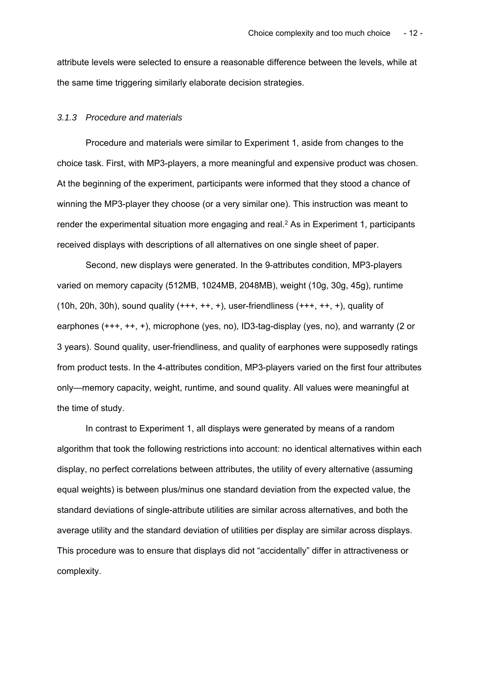attribute levels were selected to ensure a reasonable difference between the levels, while at the same time triggering similarly elaborate decision strategies.

#### *3.1.3 Procedure and materials*

Procedure and materials were similar to Experiment 1, aside from changes to the choice task. First, with MP3-players, a more meaningful and expensive product was chosen. At the beginning of the experiment, participants were informed that they stood a chance of winning the MP3-player they choose (or a very similar one). This instruction was meant to render the experimental situation more engaging and real.<sup>2</sup> As in Experiment 1, participants received displays with descriptions of all alternatives on one single sheet of paper.

Second, new displays were generated. In the 9-attributes condition, MP3-players varied on memory capacity (512MB, 1024MB, 2048MB), weight (10g, 30g, 45g), runtime (10h, 20h, 30h), sound quality  $(+++, ++, +)$ , user-friendliness  $(+++, ++, +)$ , quality of earphones (+++, ++, +), microphone (yes, no), ID3-tag-display (yes, no), and warranty (2 or 3 years). Sound quality, user-friendliness, and quality of earphones were supposedly ratings from product tests. In the 4-attributes condition, MP3-players varied on the first four attributes only—memory capacity, weight, runtime, and sound quality. All values were meaningful at the time of study.

In contrast to Experiment 1, all displays were generated by means of a random algorithm that took the following restrictions into account: no identical alternatives within each display, no perfect correlations between attributes, the utility of every alternative (assuming equal weights) is between plus/minus one standard deviation from the expected value, the standard deviations of single-attribute utilities are similar across alternatives, and both the average utility and the standard deviation of utilities per display are similar across displays. This procedure was to ensure that displays did not "accidentally" differ in attractiveness or complexity.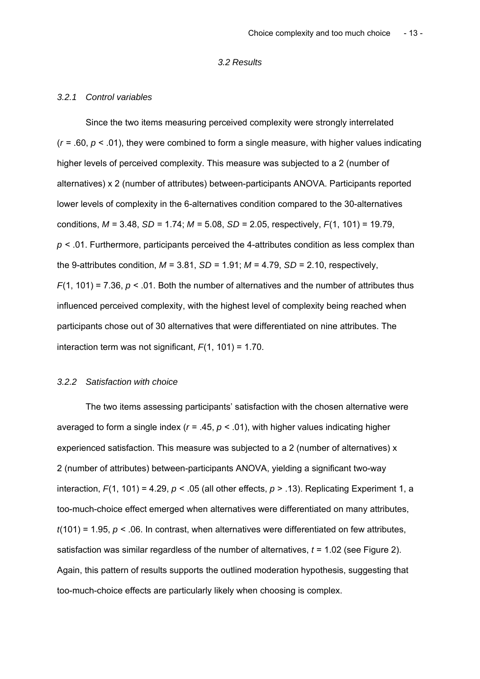## *3.2 Results*

#### *3.2.1 Control variables*

Since the two items measuring perceived complexity were strongly interrelated  $(r = .60, p < .01)$ , they were combined to form a single measure, with higher values indicating higher levels of perceived complexity. This measure was subjected to a 2 (number of alternatives) x 2 (number of attributes) between-participants ANOVA. Participants reported lower levels of complexity in the 6-alternatives condition compared to the 30-alternatives conditions, *M* = 3.48, *SD* = 1.74; *M* = 5.08, *SD* = 2.05, respectively, *F*(1, 101) = 19.79, *p* < .01. Furthermore, participants perceived the 4-attributes condition as less complex than the 9-attributes condition,  $M = 3.81$ ,  $SD = 1.91$ ;  $M = 4.79$ ,  $SD = 2.10$ , respectively, *F*(1, 101) = 7.36, *p* < .01. Both the number of alternatives and the number of attributes thus influenced perceived complexity, with the highest level of complexity being reached when participants chose out of 30 alternatives that were differentiated on nine attributes. The interaction term was not significant,  $F(1, 101) = 1.70$ .

#### *3.2.2 Satisfaction with choice*

The two items assessing participants' satisfaction with the chosen alternative were averaged to form a single index (*r* = .45, *p* < .01), with higher values indicating higher experienced satisfaction. This measure was subjected to a 2 (number of alternatives) x 2 (number of attributes) between-participants ANOVA, yielding a significant two-way interaction,  $F(1, 101) = 4.29$ ,  $p < .05$  (all other effects,  $p > .13$ ). Replicating Experiment 1, a too-much-choice effect emerged when alternatives were differentiated on many attributes,  $t(101) = 1.95$ ,  $p < .06$ . In contrast, when alternatives were differentiated on few attributes, satisfaction was similar regardless of the number of alternatives, *t* = 1.02 (see Figure 2). Again, this pattern of results supports the outlined moderation hypothesis, suggesting that too-much-choice effects are particularly likely when choosing is complex.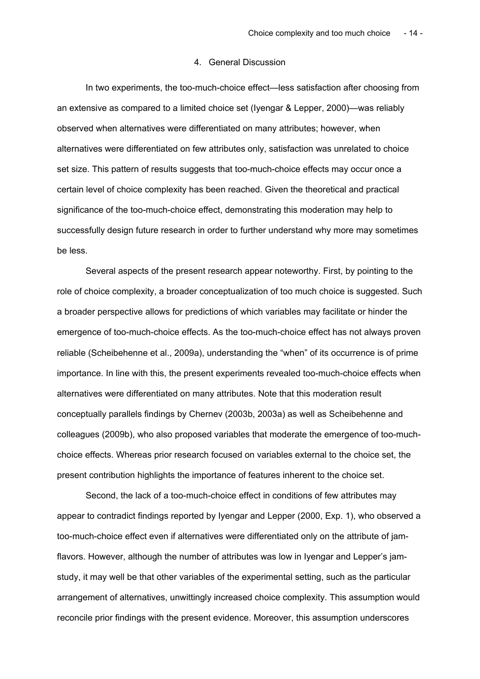## 4. General Discussion

In two experiments, the too-much-choice effect—less satisfaction after choosing from an extensive as compared to a limited choice set (Iyengar & Lepper, 2000)—was reliably observed when alternatives were differentiated on many attributes; however, when alternatives were differentiated on few attributes only, satisfaction was unrelated to choice set size. This pattern of results suggests that too-much-choice effects may occur once a certain level of choice complexity has been reached. Given the theoretical and practical significance of the too-much-choice effect, demonstrating this moderation may help to successfully design future research in order to further understand why more may sometimes be less.

Several aspects of the present research appear noteworthy. First, by pointing to the role of choice complexity, a broader conceptualization of too much choice is suggested. Such a broader perspective allows for predictions of which variables may facilitate or hinder the emergence of too-much-choice effects. As the too-much-choice effect has not always proven reliable (Scheibehenne et al., 2009a), understanding the "when" of its occurrence is of prime importance. In line with this, the present experiments revealed too-much-choice effects when alternatives were differentiated on many attributes. Note that this moderation result conceptually parallels findings by Chernev (2003b, 2003a) as well as Scheibehenne and colleagues (2009b), who also proposed variables that moderate the emergence of too-muchchoice effects. Whereas prior research focused on variables external to the choice set, the present contribution highlights the importance of features inherent to the choice set.

Second, the lack of a too-much-choice effect in conditions of few attributes may appear to contradict findings reported by Iyengar and Lepper (2000, Exp. 1), who observed a too-much-choice effect even if alternatives were differentiated only on the attribute of jamflavors. However, although the number of attributes was low in Iyengar and Lepper's jamstudy, it may well be that other variables of the experimental setting, such as the particular arrangement of alternatives, unwittingly increased choice complexity. This assumption would reconcile prior findings with the present evidence. Moreover, this assumption underscores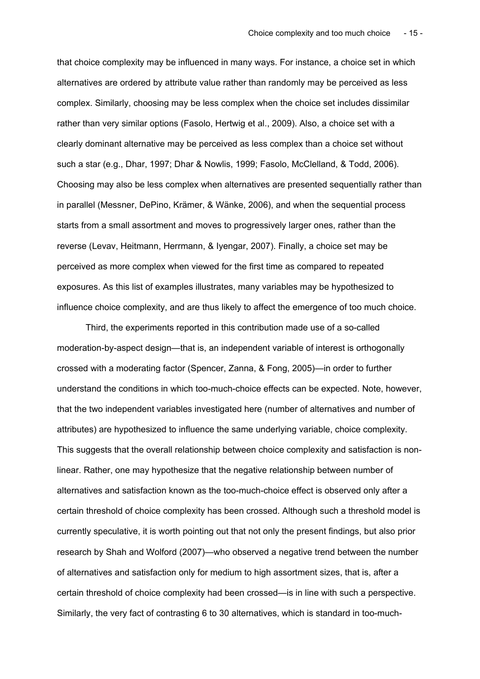that choice complexity may be influenced in many ways. For instance, a choice set in which alternatives are ordered by attribute value rather than randomly may be perceived as less complex. Similarly, choosing may be less complex when the choice set includes dissimilar rather than very similar options (Fasolo, Hertwig et al., 2009). Also, a choice set with a clearly dominant alternative may be perceived as less complex than a choice set without such a star (e.g., Dhar, 1997; Dhar & Nowlis, 1999; Fasolo, McClelland, & Todd, 2006). Choosing may also be less complex when alternatives are presented sequentially rather than in parallel (Messner, DePino, Krämer, & Wänke, 2006), and when the sequential process starts from a small assortment and moves to progressively larger ones, rather than the reverse (Levav, Heitmann, Herrmann, & Iyengar, 2007). Finally, a choice set may be perceived as more complex when viewed for the first time as compared to repeated exposures. As this list of examples illustrates, many variables may be hypothesized to influence choice complexity, and are thus likely to affect the emergence of too much choice.

Third, the experiments reported in this contribution made use of a so-called moderation-by-aspect design—that is, an independent variable of interest is orthogonally crossed with a moderating factor (Spencer, Zanna, & Fong, 2005)—in order to further understand the conditions in which too-much-choice effects can be expected. Note, however, that the two independent variables investigated here (number of alternatives and number of attributes) are hypothesized to influence the same underlying variable, choice complexity. This suggests that the overall relationship between choice complexity and satisfaction is nonlinear. Rather, one may hypothesize that the negative relationship between number of alternatives and satisfaction known as the too-much-choice effect is observed only after a certain threshold of choice complexity has been crossed. Although such a threshold model is currently speculative, it is worth pointing out that not only the present findings, but also prior research by Shah and Wolford (2007)—who observed a negative trend between the number of alternatives and satisfaction only for medium to high assortment sizes, that is, after a certain threshold of choice complexity had been crossed—is in line with such a perspective. Similarly, the very fact of contrasting 6 to 30 alternatives, which is standard in too-much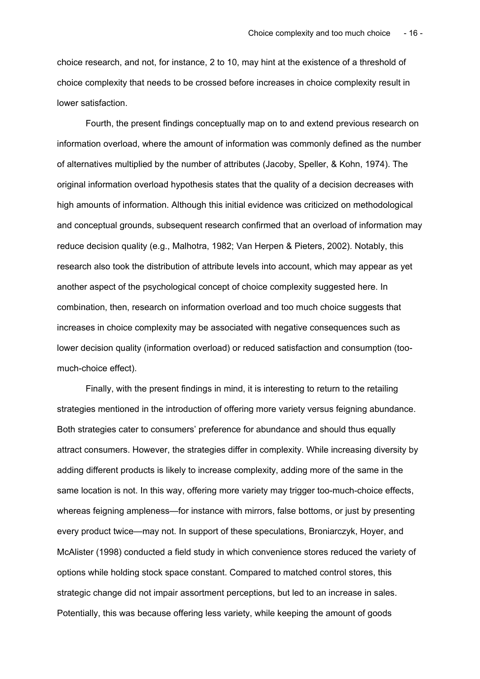choice research, and not, for instance, 2 to 10, may hint at the existence of a threshold of choice complexity that needs to be crossed before increases in choice complexity result in lower satisfaction.

Fourth, the present findings conceptually map on to and extend previous research on information overload, where the amount of information was commonly defined as the number of alternatives multiplied by the number of attributes (Jacoby, Speller, & Kohn, 1974). The original information overload hypothesis states that the quality of a decision decreases with high amounts of information. Although this initial evidence was criticized on methodological and conceptual grounds, subsequent research confirmed that an overload of information may reduce decision quality (e.g., Malhotra, 1982; Van Herpen & Pieters, 2002). Notably, this research also took the distribution of attribute levels into account, which may appear as yet another aspect of the psychological concept of choice complexity suggested here. In combination, then, research on information overload and too much choice suggests that increases in choice complexity may be associated with negative consequences such as lower decision quality (information overload) or reduced satisfaction and consumption (toomuch-choice effect).

Finally, with the present findings in mind, it is interesting to return to the retailing strategies mentioned in the introduction of offering more variety versus feigning abundance. Both strategies cater to consumers' preference for abundance and should thus equally attract consumers. However, the strategies differ in complexity. While increasing diversity by adding different products is likely to increase complexity, adding more of the same in the same location is not. In this way, offering more variety may trigger too-much-choice effects, whereas feigning ampleness—for instance with mirrors, false bottoms, or just by presenting every product twice—may not. In support of these speculations, Broniarczyk, Hoyer, and McAlister (1998) conducted a field study in which convenience stores reduced the variety of options while holding stock space constant. Compared to matched control stores, this strategic change did not impair assortment perceptions, but led to an increase in sales. Potentially, this was because offering less variety, while keeping the amount of goods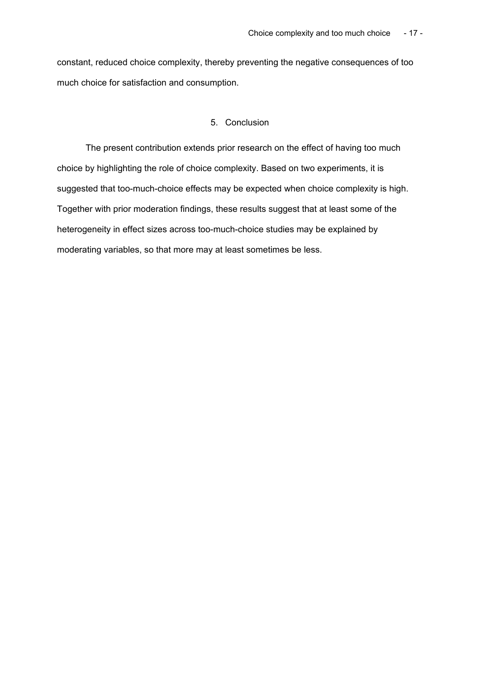constant, reduced choice complexity, thereby preventing the negative consequences of too much choice for satisfaction and consumption.

# 5. Conclusion

The present contribution extends prior research on the effect of having too much choice by highlighting the role of choice complexity. Based on two experiments, it is suggested that too-much-choice effects may be expected when choice complexity is high. Together with prior moderation findings, these results suggest that at least some of the heterogeneity in effect sizes across too-much-choice studies may be explained by moderating variables, so that more may at least sometimes be less.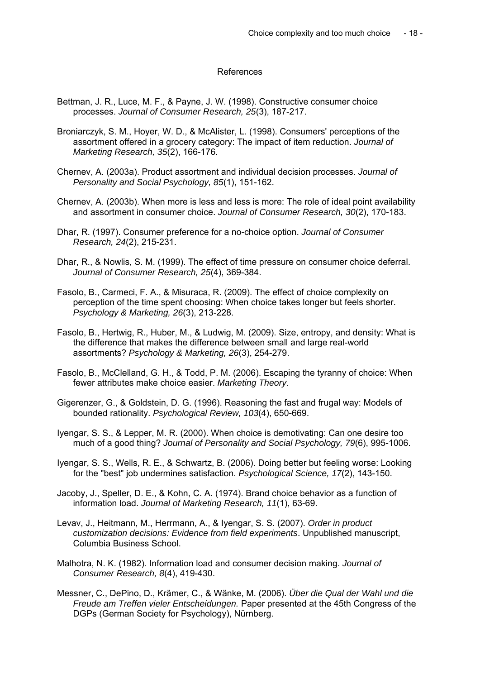## References

- Bettman, J. R., Luce, M. F., & Payne, J. W. (1998). Constructive consumer choice processes. *Journal of Consumer Research, 25*(3), 187-217.
- Broniarczyk, S. M., Hoyer, W. D., & McAlister, L. (1998). Consumers' perceptions of the assortment offered in a grocery category: The impact of item reduction. *Journal of Marketing Research, 35*(2), 166-176.
- Chernev, A. (2003a). Product assortment and individual decision processes. *Journal of Personality and Social Psychology, 85*(1), 151-162.
- Chernev, A. (2003b). When more is less and less is more: The role of ideal point availability and assortment in consumer choice. *Journal of Consumer Research, 30*(2), 170-183.
- Dhar, R. (1997). Consumer preference for a no-choice option. *Journal of Consumer Research, 24*(2), 215-231.
- Dhar, R., & Nowlis, S. M. (1999). The effect of time pressure on consumer choice deferral. *Journal of Consumer Research, 25*(4), 369-384.
- Fasolo, B., Carmeci, F. A., & Misuraca, R. (2009). The effect of choice complexity on perception of the time spent choosing: When choice takes longer but feels shorter. *Psychology & Marketing, 26*(3), 213-228.
- Fasolo, B., Hertwig, R., Huber, M., & Ludwig, M. (2009). Size, entropy, and density: What is the difference that makes the difference between small and large real-world assortments? *Psychology & Marketing, 26*(3), 254-279.
- Fasolo, B., McClelland, G. H., & Todd, P. M. (2006). Escaping the tyranny of choice: When fewer attributes make choice easier. *Marketing Theory*.
- Gigerenzer, G., & Goldstein, D. G. (1996). Reasoning the fast and frugal way: Models of bounded rationality. *Psychological Review, 103*(4), 650-669.
- Iyengar, S. S., & Lepper, M. R. (2000). When choice is demotivating: Can one desire too much of a good thing? *Journal of Personality and Social Psychology, 79*(6), 995-1006.
- Iyengar, S. S., Wells, R. E., & Schwartz, B. (2006). Doing better but feeling worse: Looking for the "best" job undermines satisfaction. *Psychological Science, 17*(2), 143-150.
- Jacoby, J., Speller, D. E., & Kohn, C. A. (1974). Brand choice behavior as a function of information load. *Journal of Marketing Research, 11*(1), 63-69.
- Levav, J., Heitmann, M., Herrmann, A., & Iyengar, S. S. (2007). *Order in product customization decisions: Evidence from field experiments*. Unpublished manuscript, Columbia Business School.
- Malhotra, N. K. (1982). Information load and consumer decision making. *Journal of Consumer Research, 8*(4), 419-430.
- Messner, C., DePino, D., Krämer, C., & Wänke, M. (2006). *Über die Qual der Wahl und die Freude am Treffen vieler Entscheidungen.* Paper presented at the 45th Congress of the DGPs (German Society for Psychology), Nürnberg.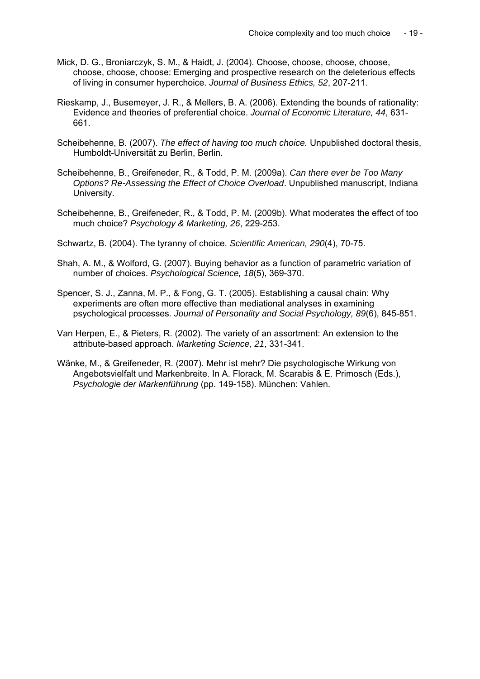- Mick, D. G., Broniarczyk, S. M., & Haidt, J. (2004). Choose, choose, choose, choose, choose, choose, choose: Emerging and prospective research on the deleterious effects of living in consumer hyperchoice. *Journal of Business Ethics, 52*, 207-211.
- Rieskamp, J., Busemeyer, J. R., & Mellers, B. A. (2006). Extending the bounds of rationality: Evidence and theories of preferential choice. *Journal of Economic Literature, 44*, 631- 661.
- Scheibehenne, B. (2007). *The effect of having too much choice.* Unpublished doctoral thesis, Humboldt-Universität zu Berlin, Berlin.
- Scheibehenne, B., Greifeneder, R., & Todd, P. M. (2009a). *Can there ever be Too Many Options? Re-Assessing the Effect of Choice Overload*. Unpublished manuscript, Indiana University.
- Scheibehenne, B., Greifeneder, R., & Todd, P. M. (2009b). What moderates the effect of too much choice? *Psychology & Marketing, 26*, 229-253.
- Schwartz, B. (2004). The tyranny of choice. *Scientific American, 290*(4), 70-75.
- Shah, A. M., & Wolford, G. (2007). Buying behavior as a function of parametric variation of number of choices. *Psychological Science, 18*(5), 369-370.
- Spencer, S. J., Zanna, M. P., & Fong, G. T. (2005). Establishing a causal chain: Why experiments are often more effective than mediational analyses in examining psychological processes. *Journal of Personality and Social Psychology, 89*(6), 845-851.
- Van Herpen, E., & Pieters, R. (2002). The variety of an assortment: An extension to the attribute-based approach. *Marketing Science, 21*, 331-341.
- Wänke, M., & Greifeneder, R. (2007). Mehr ist mehr? Die psychologische Wirkung von Angebotsvielfalt und Markenbreite. In A. Florack, M. Scarabis & E. Primosch (Eds.), *Psychologie der Markenführung* (pp. 149-158). München: Vahlen.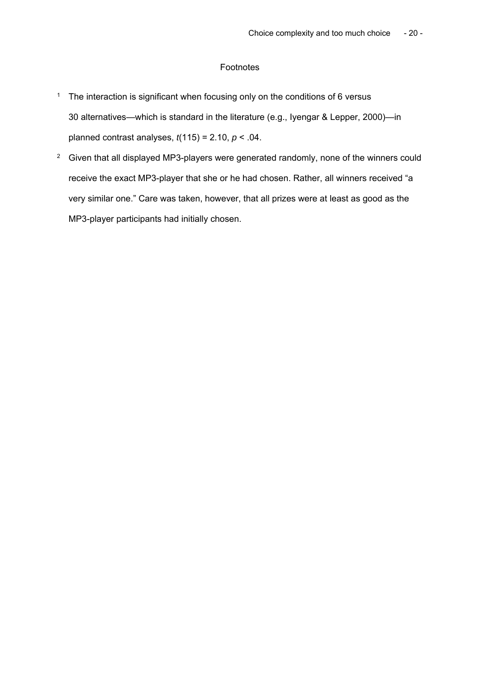# Footnotes

- <sup>1</sup> The interaction is significant when focusing only on the conditions of 6 versus 30 alternatives—which is standard in the literature (e.g., Iyengar & Lepper, 2000)—in planned contrast analyses, *t*(115) = 2.10, *p* < .04.
- <sup>2</sup> Given that all displayed MP3-players were generated randomly, none of the winners could receive the exact MP3-player that she or he had chosen. Rather, all winners received "a very similar one." Care was taken, however, that all prizes were at least as good as the MP3-player participants had initially chosen.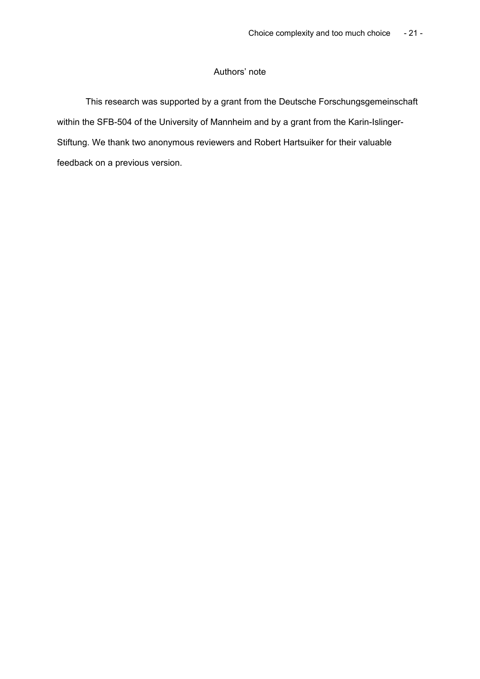# Authors' note

This research was supported by a grant from the Deutsche Forschungsgemeinschaft within the SFB-504 of the University of Mannheim and by a grant from the Karin-Islinger-Stiftung. We thank two anonymous reviewers and Robert Hartsuiker for their valuable feedback on a previous version.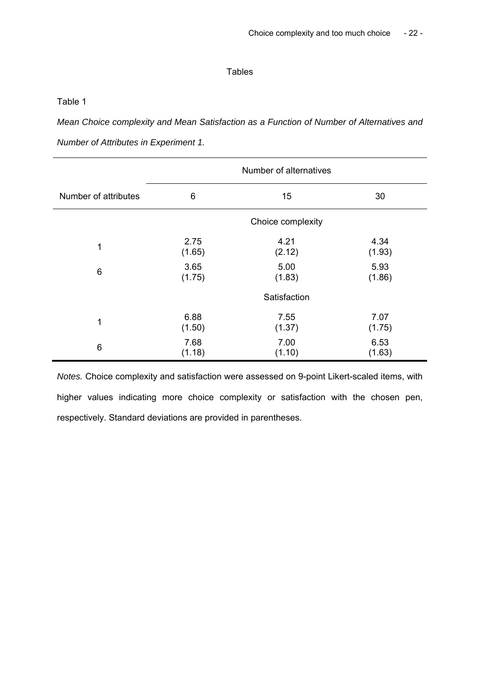# **Tables**

Table 1

*Mean Choice complexity and Mean Satisfaction as a Function of Number of Alternatives and* 

*Number of Attributes in Experiment 1.* 

|                      | Number of alternatives |        |        |
|----------------------|------------------------|--------|--------|
| Number of attributes | 6                      | 15     | 30     |
|                      | Choice complexity      |        |        |
| $\mathbf 1$          | 2.75                   | 4.21   | 4.34   |
|                      | (1.65)                 | (2.12) | (1.93) |
| 6                    | 3.65                   | 5.00   | 5.93   |
|                      | (1.75)                 | (1.83) | (1.86) |
|                      | Satisfaction           |        |        |
| $\mathbf 1$          | 6.88                   | 7.55   | 7.07   |
|                      | (1.50)                 | (1.37) | (1.75) |
| 6                    | 7.68                   | 7.00   | 6.53   |
|                      | (1.18)                 | (1.10) | (1.63) |

*Notes.* Choice complexity and satisfaction were assessed on 9-point Likert-scaled items, with higher values indicating more choice complexity or satisfaction with the chosen pen, respectively. Standard deviations are provided in parentheses.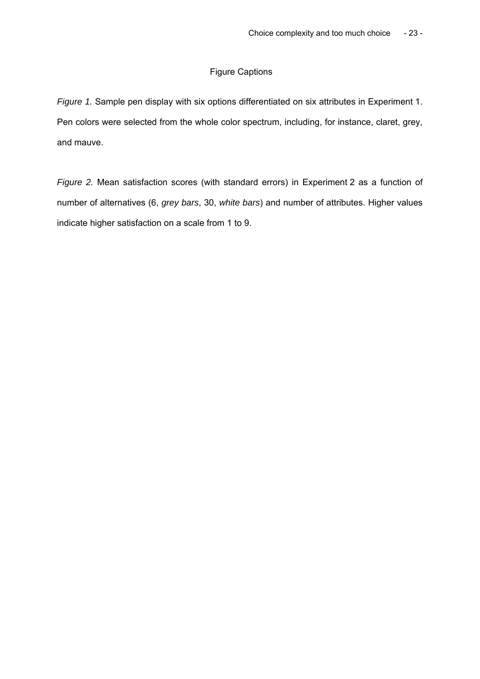# Figure Captions

*Figure 1.* Sample pen display with six options differentiated on six attributes in Experiment 1. Pen colors were selected from the whole color spectrum, including, for instance, claret, grey, and mauve.

*Figure 2.* Mean satisfaction scores (with standard errors) in Experiment 2 as a function of number of alternatives (6, *grey bars*, 30, *white bars*) and number of attributes. Higher values indicate higher satisfaction on a scale from 1 to 9.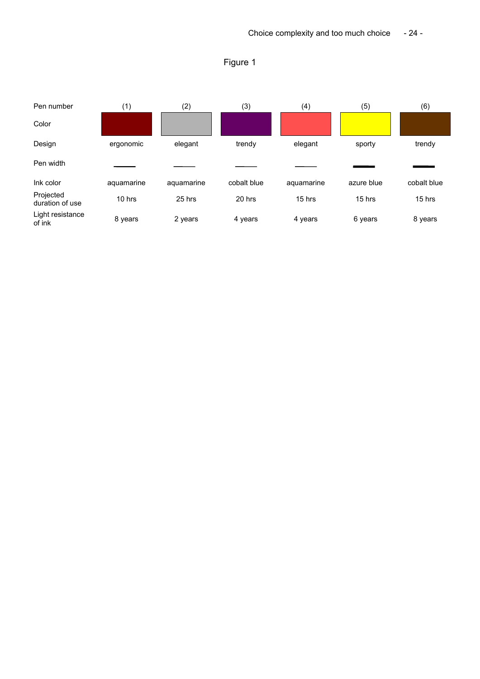